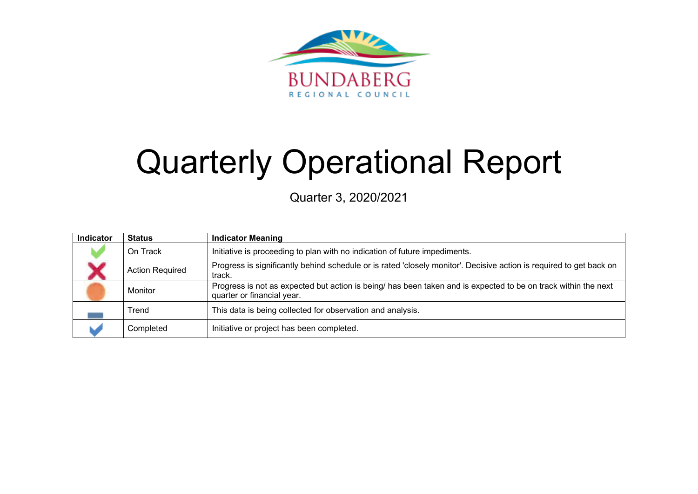

# Quarterly Operational Report

Quarter 3, 2020/2021

| <b>Indicator</b> | <b>Status</b>          | <b>Indicator Meaning</b>                                                                                                                     |
|------------------|------------------------|----------------------------------------------------------------------------------------------------------------------------------------------|
|                  | On Track               | Initiative is proceeding to plan with no indication of future impediments.                                                                   |
|                  | <b>Action Required</b> | Progress is significantly behind schedule or is rated 'closely monitor'. Decisive action is required to get back on<br>track.                |
|                  | Monitor                | Progress is not as expected but action is being/ has been taken and is expected to be on track within the next<br>quarter or financial year. |
|                  | Trend                  | This data is being collected for observation and analysis.                                                                                   |
|                  | Completed              | Initiative or project has been completed.                                                                                                    |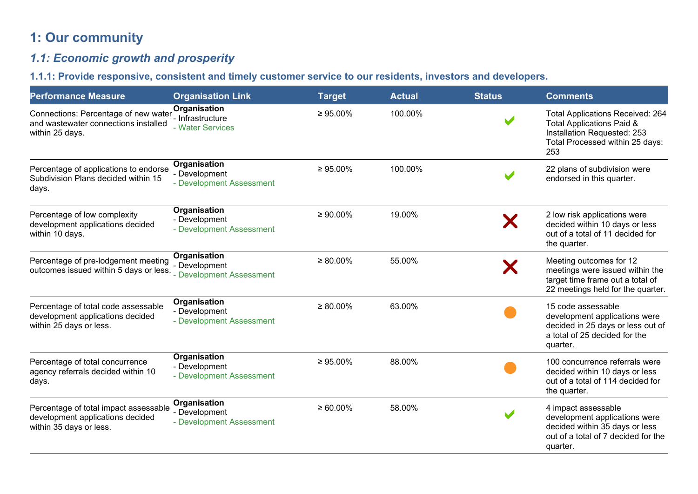# **1: Our community**

# *1.1: Economic growth and prosperity*

## **1.1.1: Provide responsive, consistent and timely customer service to our residents, investors and developers.**

| <b>Performance Measure</b>                                                                           | <b>Organisation Link</b>                                  | <b>Target</b>  | <b>Actual</b> | <b>Status</b> | <b>Comments</b>                                                                                                                               |
|------------------------------------------------------------------------------------------------------|-----------------------------------------------------------|----------------|---------------|---------------|-----------------------------------------------------------------------------------------------------------------------------------------------|
| Connections: Percentage of new water<br>and wastewater connections installed<br>within 25 days.      | Organisation<br>- Infrastructure<br>- Water Services      | $\geq 95.00\%$ | 100.00%       |               | <b>Total Applications Received: 264</b><br>Total Applications Paid &<br>Installation Requested: 253<br>Total Processed within 25 days:<br>253 |
| Percentage of applications to endorse<br>Subdivision Plans decided within 15<br>days.                | Organisation<br>- Development<br>- Development Assessment | $\geq 95.00\%$ | 100.00%       |               | 22 plans of subdivision were<br>endorsed in this quarter.                                                                                     |
| Percentage of low complexity<br>development applications decided<br>within 10 days.                  | Organisation<br>- Development<br>- Development Assessment | $\geq 90.00\%$ | 19.00%        |               | 2 low risk applications were<br>decided within 10 days or less<br>out of a total of 11 decided for<br>the quarter.                            |
| Percentage of pre-lodgement meeting<br>outcomes issued within 5 days or less. Development Assessment | Organisation<br>- Development                             | $\geq 80.00\%$ | 55.00%        |               | Meeting outcomes for 12<br>meetings were issued within the<br>target time frame out a total of<br>22 meetings held for the quarter.           |
| Percentage of total code assessable<br>development applications decided<br>within 25 days or less.   | Organisation<br>- Development<br>- Development Assessment | $\geq 80.00\%$ | 63.00%        |               | 15 code assessable<br>development applications were<br>decided in 25 days or less out of<br>a total of 25 decided for the<br>quarter.         |
| Percentage of total concurrence<br>agency referrals decided within 10<br>days.                       | Organisation<br>- Development<br>- Development Assessment | $\geq 95.00\%$ | 88.00%        |               | 100 concurrence referrals were<br>decided within 10 days or less<br>out of a total of 114 decided for<br>the quarter.                         |
| Percentage of total impact assessable<br>development applications decided<br>within 35 days or less. | Organisation<br>- Development<br>- Development Assessment | $\geq 60.00\%$ | 58.00%        |               | 4 impact assessable<br>development applications were<br>decided within 35 days or less<br>out of a total of 7 decided for the<br>quarter.     |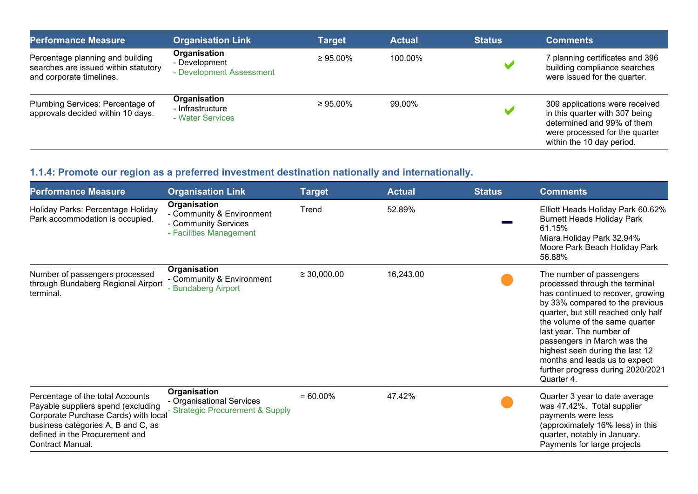| <b>Performance Measure</b>                                                                           | <b>Organisation Link</b>                                  | Target         | <b>Actual</b> | <b>Status</b> | <b>Comments</b>                                                                                                                                               |
|------------------------------------------------------------------------------------------------------|-----------------------------------------------------------|----------------|---------------|---------------|---------------------------------------------------------------------------------------------------------------------------------------------------------------|
| Percentage planning and building<br>searches are issued within statutory<br>and corporate timelines. | Organisation<br>- Development<br>- Development Assessment | $\geq 95.00\%$ | 100.00%       |               | 7 planning certificates and 396<br>building compliance searches<br>were issued for the quarter.                                                               |
| Plumbing Services: Percentage of<br>approvals decided within 10 days.                                | Organisation<br>- Infrastructure<br>- Water Services      | $\geq 95.00\%$ | 99.00%        |               | 309 applications were received<br>in this quarter with 307 being<br>determined and 99% of them<br>were processed for the quarter<br>within the 10 day period. |

# **1.1.4: Promote our region as a preferred investment destination nationally and internationally.**

| <b>Performance Measure</b>                                                                                                                                                                                 | <b>Organisation Link</b>                                                                     | Target           | <b>Actual</b> | <b>Status</b> | <b>Comments</b>                                                                                                                                                                                                                                                                                                                                                                                |
|------------------------------------------------------------------------------------------------------------------------------------------------------------------------------------------------------------|----------------------------------------------------------------------------------------------|------------------|---------------|---------------|------------------------------------------------------------------------------------------------------------------------------------------------------------------------------------------------------------------------------------------------------------------------------------------------------------------------------------------------------------------------------------------------|
| Holiday Parks: Percentage Holiday<br>Park accommodation is occupied.                                                                                                                                       | Organisation<br>- Community & Environment<br>- Community Services<br>- Facilities Management | Trend            | 52.89%        |               | Elliott Heads Holiday Park 60.62%<br><b>Burnett Heads Holiday Park</b><br>61.15%<br>Miara Holiday Park 32.94%<br>Moore Park Beach Holiday Park<br>56.88%                                                                                                                                                                                                                                       |
| Number of passengers processed<br>through Bundaberg Regional Airport<br>terminal.                                                                                                                          | Organisation<br>- Community & Environment<br>- Bundaberg Airport                             | $\geq 30,000.00$ | 16,243.00     |               | The number of passengers<br>processed through the terminal<br>has continued to recover, growing<br>by 33% compared to the previous<br>quarter, but still reached only half<br>the volume of the same quarter<br>last year. The number of<br>passengers in March was the<br>highest seen during the last 12<br>months and leads us to expect<br>further progress during 2020/2021<br>Quarter 4. |
| Percentage of the total Accounts<br>Payable suppliers spend (excluding<br>Corporate Purchase Cards) with local<br>business categories A, B and C, as<br>defined in the Procurement and<br>Contract Manual. | Organisation<br>- Organisational Services<br><b>Strategic Procurement &amp; Supply</b>       | $= 60.00\%$      | 47.42%        |               | Quarter 3 year to date average<br>was 47.42%. Total supplier<br>payments were less<br>(approximately 16% less) in this<br>quarter, notably in January.<br>Payments for large projects                                                                                                                                                                                                          |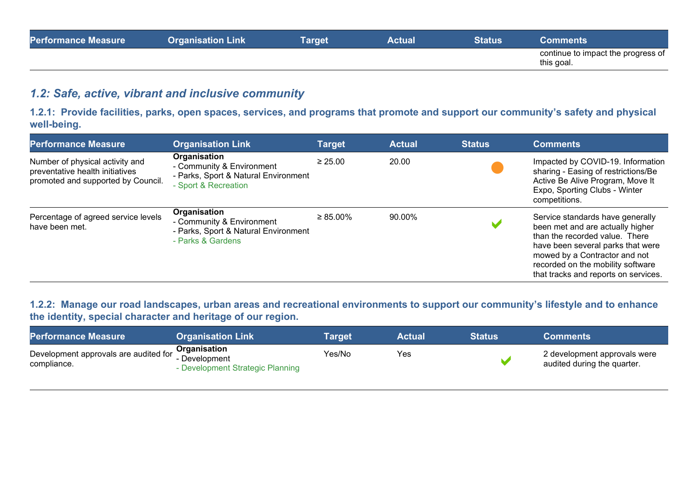| <b>Performance Measure</b> | <b>Organisation Link</b> | <b>Target</b> | Actual | <b>Status</b> | Comments                                         |
|----------------------------|--------------------------|---------------|--------|---------------|--------------------------------------------------|
|                            |                          |               |        |               | continue to impact the progress of<br>this goal. |

## *1.2: Safe, active, vibrant and inclusive community*

**1.2.1: Provide facilities, parks, open spaces, services, and programs that promote and support our community's safety and physical well-being.**

| <b>Performance Measure</b>                                                                               | <b>Organisation Link</b>                                                                                  | Target        | <b>Actual</b> | <b>Status</b> | <b>Comments</b>                                                                                                                                                                                                                                           |
|----------------------------------------------------------------------------------------------------------|-----------------------------------------------------------------------------------------------------------|---------------|---------------|---------------|-----------------------------------------------------------------------------------------------------------------------------------------------------------------------------------------------------------------------------------------------------------|
| Number of physical activity and<br>preventative health initiatives<br>promoted and supported by Council. | Organisation<br>- Community & Environment<br>- Parks, Sport & Natural Environment<br>- Sport & Recreation | $\geq 25.00$  | 20.00         |               | Impacted by COVID-19. Information<br>sharing - Easing of restrictions/Be<br>Active Be Alive Program, Move It<br>Expo, Sporting Clubs - Winter<br>competitions.                                                                                            |
| Percentage of agreed service levels<br>have been met.                                                    | Organisation<br>- Community & Environment<br>- Parks, Sport & Natural Environment<br>- Parks & Gardens    | $\geq$ 85.00% | 90.00%        |               | Service standards have generally<br>been met and are actually higher<br>than the recorded value. There<br>have been several parks that were<br>mowed by a Contractor and not<br>recorded on the mobility software<br>that tracks and reports on services. |

## **1.2.2: Manage our road landscapes, urban areas and recreational environments to support our community's lifestyle and to enhance the identity, special character and heritage of our region.**

| <b>Performance Measure</b>                                                              | <b>Organisation Link</b>         | Target | <b>Actual</b> | <b>Status</b> | Comments                                                    |
|-----------------------------------------------------------------------------------------|----------------------------------|--------|---------------|---------------|-------------------------------------------------------------|
| Development approvals are audited for <b>Organisation</b><br>Levelopment<br>compliance. | - Development Strategic Planning | Yes/No | Yes           |               | 2 development approvals were<br>audited during the quarter. |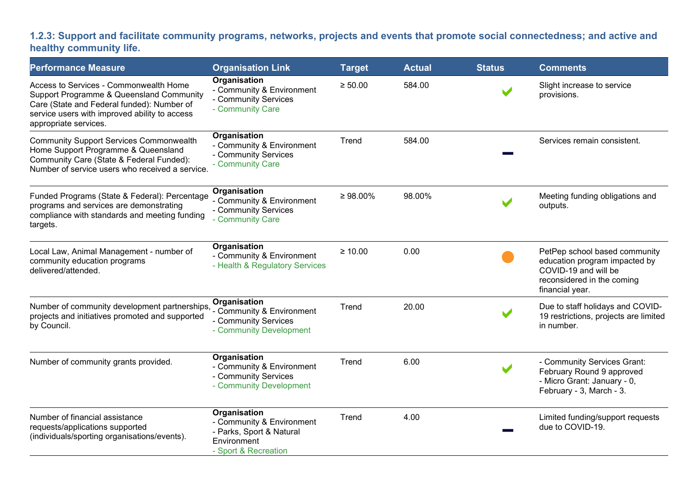## **1.2.3: Support and facilitate community programs, networks, projects and events that promote social connectedness; and active and healthy community life.**

| <b>Performance Measure</b>                                                                                                                                                                                 | <b>Organisation Link</b>                                                                                            | <b>Target</b>  | <b>Actual</b> | <b>Status</b> | <b>Comments</b>                                                                                                                         |
|------------------------------------------------------------------------------------------------------------------------------------------------------------------------------------------------------------|---------------------------------------------------------------------------------------------------------------------|----------------|---------------|---------------|-----------------------------------------------------------------------------------------------------------------------------------------|
| Access to Services - Commonwealth Home<br>Support Programme & Queensland Community<br>Care (State and Federal funded): Number of<br>service users with improved ability to access<br>appropriate services. | Organisation<br>- Community & Environment<br>- Community Services<br>- Community Care                               | $\geq 50.00$   | 584.00        |               | Slight increase to service<br>provisions.                                                                                               |
| <b>Community Support Services Commonwealth</b><br>Home Support Programme & Queensland<br>Community Care (State & Federal Funded):<br>Number of service users who received a service.                       | Organisation<br>- Community & Environment<br>- Community Services<br>- Community Care                               | Trend          | 584.00        |               | Services remain consistent.                                                                                                             |
| Funded Programs (State & Federal): Percentage<br>programs and services are demonstrating<br>compliance with standards and meeting funding<br>targets.                                                      | Organisation<br>- Community & Environment<br>- Community Services<br>- Community Care                               | $\geq 98.00\%$ | 98.00%        |               | Meeting funding obligations and<br>outputs.                                                                                             |
| Local Law, Animal Management - number of<br>community education programs<br>delivered/attended.                                                                                                            | <b>Organisation</b><br>- Community & Environment<br>- Health & Regulatory Services                                  | $\geq 10.00$   | 0.00          |               | PetPep school based community<br>education program impacted by<br>COVID-19 and will be<br>reconsidered in the coming<br>financial year. |
| Number of community development partnerships,<br>projects and initiatives promoted and supported<br>by Council.                                                                                            | Organisation<br>- Community & Environment<br>- Community Services<br>- Community Development                        | Trend          | 20.00         |               | Due to staff holidays and COVID-<br>19 restrictions, projects are limited<br>in number.                                                 |
| Number of community grants provided.                                                                                                                                                                       | <b>Organisation</b><br>- Community & Environment<br>- Community Services<br>- Community Development                 | Trend          | 6.00          |               | - Community Services Grant:<br>February Round 9 approved<br>- Micro Grant: January - 0,<br>February - 3, March - 3.                     |
| Number of financial assistance<br>requests/applications supported<br>(individuals/sporting organisations/events).                                                                                          | <b>Organisation</b><br>- Community & Environment<br>- Parks, Sport & Natural<br>Environment<br>- Sport & Recreation | Trend          | 4.00          |               | Limited funding/support requests<br>due to COVID-19.                                                                                    |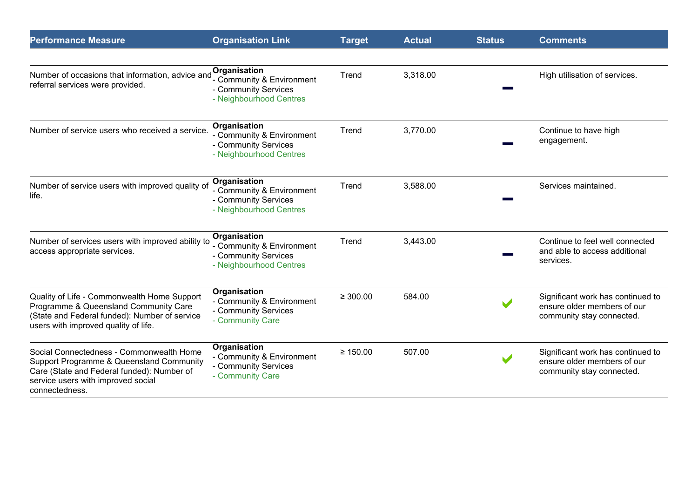| <b>Performance Measure</b>                                                                                                                                                                 | <b>Organisation Link</b>                                                                     | <b>Target</b> | <b>Actual</b> | <b>Status</b>        | <b>Comments</b>                                                                               |
|--------------------------------------------------------------------------------------------------------------------------------------------------------------------------------------------|----------------------------------------------------------------------------------------------|---------------|---------------|----------------------|-----------------------------------------------------------------------------------------------|
|                                                                                                                                                                                            |                                                                                              |               |               |                      |                                                                                               |
| Number of occasions that information, advice and<br>referral services were provided.                                                                                                       | Organisation<br>- Community & Environment<br>- Community Services<br>- Neighbourhood Centres | Trend         | 3,318.00      |                      | High utilisation of services.                                                                 |
| Number of service users who received a service.                                                                                                                                            | Organisation<br>- Community & Environment<br>- Community Services<br>- Neighbourhood Centres | Trend         | 3,770.00      |                      | Continue to have high<br>engagement.                                                          |
| Number of service users with improved quality of<br>life.                                                                                                                                  | Organisation<br>- Community & Environment<br>- Community Services<br>- Neighbourhood Centres | Trend         | 3,588.00      |                      | Services maintained.                                                                          |
| Number of services users with improved ability to<br>access appropriate services.                                                                                                          | Organisation<br>- Community & Environment<br>- Community Services<br>- Neighbourhood Centres | Trend         | 3,443.00      |                      | Continue to feel well connected<br>and able to access additional<br>services.                 |
| Quality of Life - Commonwealth Home Support<br>Programme & Queensland Community Care<br>(State and Federal funded): Number of service<br>users with improved quality of life.              | Organisation<br>- Community & Environment<br>- Community Services<br>- Community Care        | $\geq 300.00$ | 584.00        |                      | Significant work has continued to<br>ensure older members of our<br>community stay connected. |
| Social Connectedness - Commonwealth Home<br>Support Programme & Queensland Community<br>Care (State and Federal funded): Number of<br>service users with improved social<br>connectedness. | Organisation<br>- Community & Environment<br>- Community Services<br>- Community Care        | $\geq 150.00$ | 507.00        | $\blacktriangledown$ | Significant work has continued to<br>ensure older members of our<br>community stay connected. |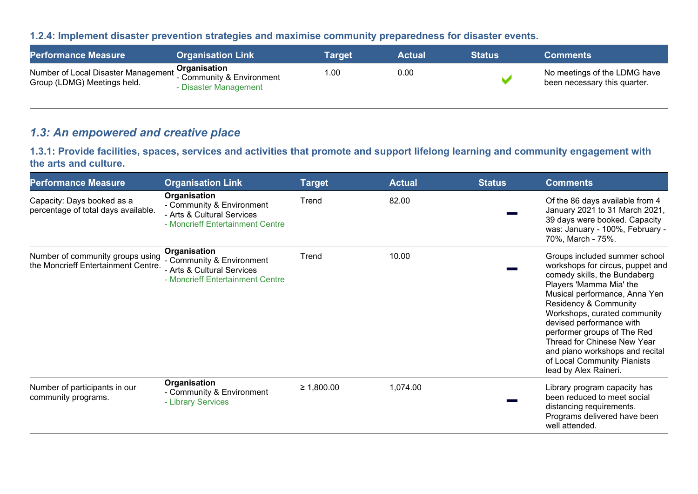#### **1.2.4: Implement disaster prevention strategies and maximise community preparedness for disaster events.**

| <b>Performance Measure</b>                                                                                           | <b>Organisation Link</b> | Target' | <b>Actual</b> | <b>Status</b> | <b>Comments</b>                                              |
|----------------------------------------------------------------------------------------------------------------------|--------------------------|---------|---------------|---------------|--------------------------------------------------------------|
| Number of Local Disaster Management <b>Organisation</b><br>Crown (LDMC) Mestings held<br>Group (LDMG) Meetings held. | - Disaster Management    | 1.00    | 0.00          |               | No meetings of the LDMG have<br>been necessary this quarter. |

## *1.3: An empowered and creative place*

**1.3.1: Provide facilities, spaces, services and activities that promote and support lifelong learning and community engagement with the arts and culture.**

| <b>Performance Measure</b>                                                                      | <b>Organisation Link</b>                                                                                    | <b>Target</b> | <b>Actual</b> | <b>Status</b> | <b>Comments</b>                                                                                                                                                                                                                                                                                                                                                                                                        |
|-------------------------------------------------------------------------------------------------|-------------------------------------------------------------------------------------------------------------|---------------|---------------|---------------|------------------------------------------------------------------------------------------------------------------------------------------------------------------------------------------------------------------------------------------------------------------------------------------------------------------------------------------------------------------------------------------------------------------------|
| Capacity: Days booked as a<br>percentage of total days available.                               | Organisation<br>- Community & Environment<br>- Arts & Cultural Services<br>- Moncrieff Entertainment Centre | Trend         | 82.00         |               | Of the 86 days available from 4<br>January 2021 to 31 March 2021,<br>39 days were booked. Capacity<br>was: January - 100%, February -<br>70%, March - 75%.                                                                                                                                                                                                                                                             |
| Number of community groups using Community & Environment<br>the Moncrieff Entertainment Centre. | Organisation<br>- Arts & Cultural Services<br>- Moncrieff Entertainment Centre                              | Trend         | 10.00         |               | Groups included summer school<br>workshops for circus, puppet and<br>comedy skills, the Bundaberg<br>Players 'Mamma Mia' the<br>Musical performance, Anna Yen<br><b>Residency &amp; Community</b><br>Workshops, curated community<br>devised performance with<br>performer groups of The Red<br>Thread for Chinese New Year<br>and piano workshops and recital<br>of Local Community Pianists<br>lead by Alex Raineri. |
| Number of participants in our<br>community programs.                                            | Organisation<br>- Community & Environment<br>- Library Services                                             | ≥ 1,800.00    | 1,074.00      |               | Library program capacity has<br>been reduced to meet social<br>distancing requirements.<br>Programs delivered have been<br>well attended.                                                                                                                                                                                                                                                                              |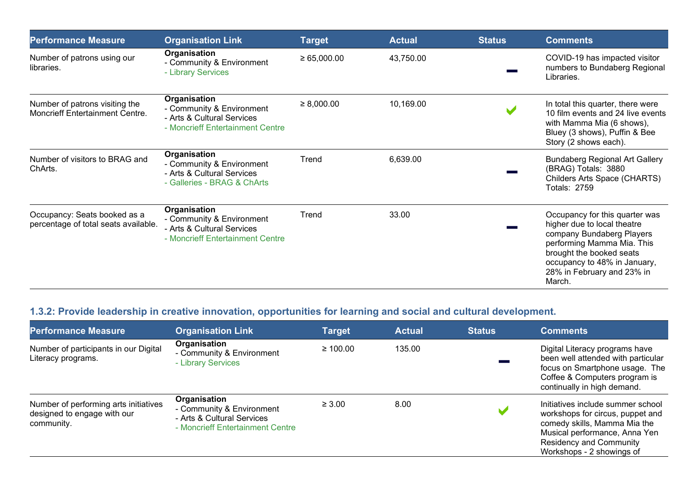| <b>Performance Measure</b>                                               | <b>Organisation Link</b>                                                                                    | <b>Target</b>   | <b>Actual</b> | <b>Status</b> | <b>Comments</b>                                                                                                                                                                                                              |
|--------------------------------------------------------------------------|-------------------------------------------------------------------------------------------------------------|-----------------|---------------|---------------|------------------------------------------------------------------------------------------------------------------------------------------------------------------------------------------------------------------------------|
| Number of patrons using our<br>libraries.                                | Organisation<br>- Community & Environment<br>- Library Services                                             | ≥ 65,000.00     | 43,750.00     |               | COVID-19 has impacted visitor<br>numbers to Bundaberg Regional<br>Libraries.                                                                                                                                                 |
| Number of patrons visiting the<br><b>Moncrieff Entertainment Centre.</b> | Organisation<br>- Community & Environment<br>- Arts & Cultural Services<br>- Moncrieff Entertainment Centre | $\geq 8,000.00$ | 10,169.00     |               | In total this quarter, there were<br>10 film events and 24 live events<br>with Mamma Mia (6 shows),<br>Bluey (3 shows), Puffin & Bee<br>Story (2 shows each).                                                                |
| Number of visitors to BRAG and<br>ChArts.                                | Organisation<br>- Community & Environment<br>- Arts & Cultural Services<br>- Galleries - BRAG & ChArts      | Trend           | 6,639.00      |               | <b>Bundaberg Regional Art Gallery</b><br>(BRAG) Totals: 3880<br>Childers Arts Space (CHARTS)<br><b>Totals: 2759</b>                                                                                                          |
| Occupancy: Seats booked as a<br>percentage of total seats available.     | Organisation<br>- Community & Environment<br>- Arts & Cultural Services<br>- Moncrieff Entertainment Centre | Trend           | 33.00         |               | Occupancy for this quarter was<br>higher due to local theatre<br>company Bundaberg Players<br>performing Mamma Mia. This<br>brought the booked seats<br>occupancy to 48% in January,<br>28% in February and 23% in<br>March. |

# **1.3.2: Provide leadership in creative innovation, opportunities for learning and social and cultural development.**

| <b>Performance Measure</b>                                                         | <b>Organisation Link</b>                                                                                    | <b>Target</b> | <b>Actual</b> | <b>Status</b> | <b>Comments</b>                                                                                                                                                                                       |
|------------------------------------------------------------------------------------|-------------------------------------------------------------------------------------------------------------|---------------|---------------|---------------|-------------------------------------------------------------------------------------------------------------------------------------------------------------------------------------------------------|
| Number of participants in our Digital<br>Literacy programs.                        | Organisation<br>- Community & Environment<br>- Library Services                                             | $\geq 100.00$ | 135.00        |               | Digital Literacy programs have<br>been well attended with particular<br>focus on Smartphone usage. The<br>Coffee & Computers program is<br>continually in high demand.                                |
| Number of performing arts initiatives<br>designed to engage with our<br>community. | Organisation<br>- Community & Environment<br>- Arts & Cultural Services<br>- Moncrieff Entertainment Centre | $\geq 3.00$   | 8.00          |               | Initiatives include summer school<br>workshops for circus, puppet and<br>comedy skills, Mamma Mia the<br>Musical performance, Anna Yen<br><b>Residency and Community</b><br>Workshops - 2 showings of |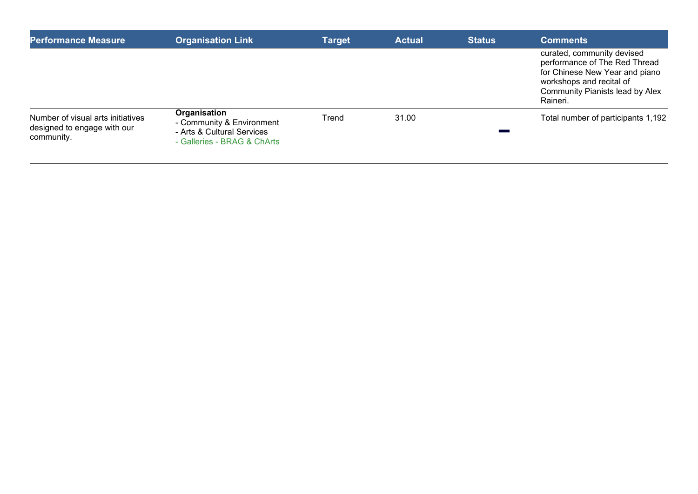| <b>Performance Measure</b>                                                     | <b>Organisation Link</b>                                                                               | <b>Target</b> | <b>Actual</b> | <b>Status</b> | <b>Comments</b>                                                                                                                                                                 |
|--------------------------------------------------------------------------------|--------------------------------------------------------------------------------------------------------|---------------|---------------|---------------|---------------------------------------------------------------------------------------------------------------------------------------------------------------------------------|
|                                                                                |                                                                                                        |               |               |               | curated, community devised<br>performance of The Red Thread<br>for Chinese New Year and piano<br>workshops and recital of<br><b>Community Pianists lead by Alex</b><br>Raineri. |
| Number of visual arts initiatives<br>designed to engage with our<br>community. | Organisation<br>- Community & Environment<br>- Arts & Cultural Services<br>- Galleries - BRAG & ChArts | Trend         | 31.00         |               | Total number of participants 1,192                                                                                                                                              |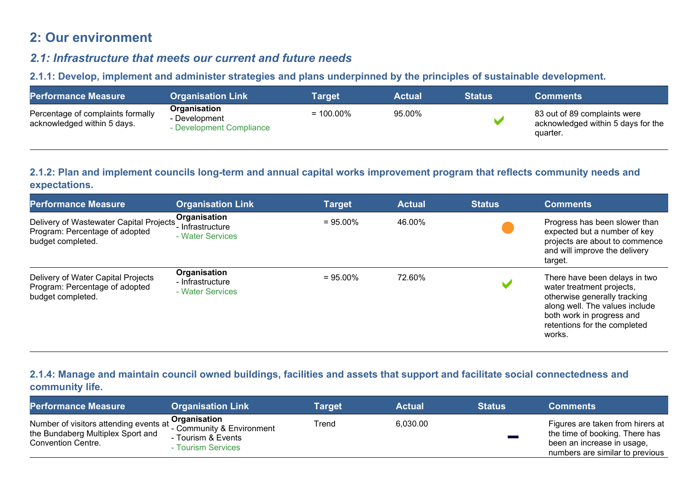# **2: Our environment**

## *2.1: Infrastructure that meets our current and future needs*

**2.1.1: Develop, implement and administer strategies and plans underpinned by the principles of sustainable development.** 

| <b>Performance Measure</b>                                       | <b>Organisation Link</b>                                  | Target       | <b>Actual</b> | <b>Status</b> | <b>Comments</b>                                                                |
|------------------------------------------------------------------|-----------------------------------------------------------|--------------|---------------|---------------|--------------------------------------------------------------------------------|
| Percentage of complaints formally<br>acknowledged within 5 days. | Organisation<br>- Development<br>- Development Compliance | $= 100.00\%$ | 95.00%        |               | 83 out of 89 complaints were<br>acknowledged within 5 days for the<br>quarter. |

#### **2.1.2: Plan and implement councils long-term and annual capital works improvement program that reflects community needs and expectations.**

| <b>Performance Measure</b>                                                                     | <b>Organisation Link</b>                             | <b>Target</b> | <b>Actual</b> | <b>Status</b> | <b>Comments</b>                                                                                                                                                                                     |
|------------------------------------------------------------------------------------------------|------------------------------------------------------|---------------|---------------|---------------|-----------------------------------------------------------------------------------------------------------------------------------------------------------------------------------------------------|
| Delivery of Wastewater Capital Projects<br>Program: Percentage of adopted<br>budget completed. | Organisation<br>- Infrastructure<br>- Water Services | $= 95.00\%$   | 46.00%        |               | Progress has been slower than<br>expected but a number of key<br>projects are about to commence<br>and will improve the delivery<br>target.                                                         |
| Delivery of Water Capital Projects<br>Program: Percentage of adopted<br>budget completed.      | Organisation<br>- Infrastructure<br>- Water Services | $= 95.00\%$   | 72.60%        |               | There have been delays in two<br>water treatment projects,<br>otherwise generally tracking<br>along well. The values include<br>both work in progress and<br>retentions for the completed<br>works. |

#### **2.1.4: Manage and maintain council owned buildings, facilities and assets that support and facilitate social connectedness and community life.**

| <b>Performance Measure</b>                                                                        | <b>Organisation Link</b>                                                              | Target | Actual   | <b>Status</b> | <b>Comments</b>                                                                                                                     |
|---------------------------------------------------------------------------------------------------|---------------------------------------------------------------------------------------|--------|----------|---------------|-------------------------------------------------------------------------------------------------------------------------------------|
| Number of visitors attending events at<br>the Bundaberg Multiplex Sport and<br>Convention Centre. | Organisation<br>- Community & Environment<br>- Tourism & Events<br>- Tourism Services | Trend  | 6,030.00 |               | Figures are taken from hirers at<br>the time of booking. There has<br>been an increase in usage,<br>numbers are similar to previous |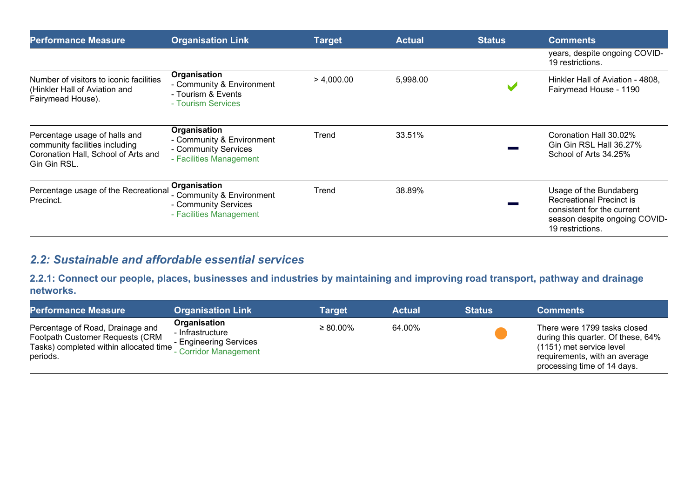| <b>Performance Measure</b>                                                                                             | <b>Organisation Link</b>                                                                     | <b>Target</b> | <b>Actual</b> | <b>Status</b> | <b>Comments</b>                                                                                                                              |
|------------------------------------------------------------------------------------------------------------------------|----------------------------------------------------------------------------------------------|---------------|---------------|---------------|----------------------------------------------------------------------------------------------------------------------------------------------|
|                                                                                                                        |                                                                                              |               |               |               | years, despite ongoing COVID-<br>19 restrictions.                                                                                            |
| Number of visitors to iconic facilities<br>(Hinkler Hall of Aviation and<br>Fairymead House).                          | Organisation<br>- Community & Environment<br>- Tourism & Events<br>- Tourism Services        | > 4,000.00    | 5,998.00      |               | Hinkler Hall of Aviation - 4808,<br>Fairymead House - 1190                                                                                   |
| Percentage usage of halls and<br>community facilities including<br>Coronation Hall, School of Arts and<br>Gin Gin RSL. | Organisation<br>- Community & Environment<br>- Community Services<br>- Facilities Management | Trend         | 33.51%        |               | Coronation Hall 30.02%<br>Gin Gin RSL Hall 36.27%<br>School of Arts 34.25%                                                                   |
| Percentage usage of the Recreational<br>Precinct.                                                                      | Organisation<br>- Community & Environment<br>- Community Services<br>- Facilities Management | Trend         | 38.89%        |               | Usage of the Bundaberg<br><b>Recreational Precinct is</b><br>consistent for the current<br>season despite ongoing COVID-<br>19 restrictions. |

## *2.2: Sustainable and affordable essential services*

**2.2.1: Connect our people, places, businesses and industries by maintaining and improving road transport, pathway and drainage networks.** 

| <b>Performance Measure</b>                                                                                                | <b>Organisation Link</b>                                                            | <b>Target</b>  | <b>Actual</b> | <b>Status</b> | <b>Comments</b>                                                                                                                                                |
|---------------------------------------------------------------------------------------------------------------------------|-------------------------------------------------------------------------------------|----------------|---------------|---------------|----------------------------------------------------------------------------------------------------------------------------------------------------------------|
| Percentage of Road, Drainage and<br>Footpath Customer Requests (CRM<br>Tasks) completed within allocated time<br>periods. | Organisation<br>- Infrastructure<br>- Engineering Services<br>- Corridor Management | $\geq 80.00\%$ | 64.00%        |               | There were 1799 tasks closed<br>during this quarter. Of these, 64%<br>(1151) met service level<br>requirements, with an average<br>processing time of 14 days. |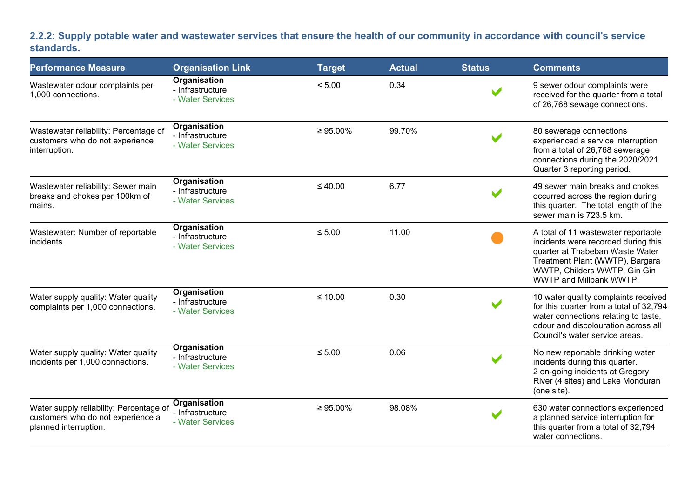### **2.2.2: Supply potable water and wastewater services that ensure the health of our community in accordance with council's service standards.**

| <b>Performance Measure</b>                                                                            | <b>Organisation Link</b>                             | <b>Target</b>  | <b>Actual</b> | <b>Status</b> | <b>Comments</b>                                                                                                                                                                                             |
|-------------------------------------------------------------------------------------------------------|------------------------------------------------------|----------------|---------------|---------------|-------------------------------------------------------------------------------------------------------------------------------------------------------------------------------------------------------------|
| Wastewater odour complaints per<br>1,000 connections.                                                 | Organisation<br>- Infrastructure<br>- Water Services | < 5.00         | 0.34          |               | 9 sewer odour complaints were<br>received for the quarter from a total<br>of 26,768 sewage connections.                                                                                                     |
| Wastewater reliability: Percentage of<br>customers who do not experience<br>interruption.             | Organisation<br>- Infrastructure<br>- Water Services | $\geq 95.00\%$ | 99.70%        |               | 80 sewerage connections<br>experienced a service interruption<br>from a total of 26,768 sewerage<br>connections during the 2020/2021<br>Quarter 3 reporting period.                                         |
| Wastewater reliability: Sewer main<br>breaks and chokes per 100km of<br>mains.                        | Organisation<br>- Infrastructure<br>- Water Services | $\leq 40.00$   | 6.77          |               | 49 sewer main breaks and chokes<br>occurred across the region during<br>this quarter. The total length of the<br>sewer main is 723.5 km.                                                                    |
| Wastewater: Number of reportable<br>incidents.                                                        | Organisation<br>- Infrastructure<br>- Water Services | $\leq 5.00$    | 11.00         |               | A total of 11 wastewater reportable<br>incidents were recorded during this<br>quarter at Thabeban Waste Water<br>Treatment Plant (WWTP), Bargara<br>WWTP, Childers WWTP, Gin Gin<br>WWTP and Millbank WWTP. |
| Water supply quality: Water quality<br>complaints per 1,000 connections.                              | Organisation<br>- Infrastructure<br>- Water Services | $≤ 10.00$      | 0.30          |               | 10 water quality complaints received<br>for this quarter from a total of 32,794<br>water connections relating to taste,<br>odour and discolouration across all<br>Council's water service areas.            |
| Water supply quality: Water quality<br>incidents per 1,000 connections.                               | Organisation<br>- Infrastructure<br>- Water Services | $\leq 5.00$    | 0.06          |               | No new reportable drinking water<br>incidents during this quarter.<br>2 on-going incidents at Gregory<br>River (4 sites) and Lake Monduran<br>(one site).                                                   |
| Water supply reliability: Percentage of<br>customers who do not experience a<br>planned interruption. | Organisation<br>- Infrastructure<br>- Water Services | $\geq 95.00\%$ | 98.08%        |               | 630 water connections experienced<br>a planned service interruption for<br>this quarter from a total of 32,794<br>water connections.                                                                        |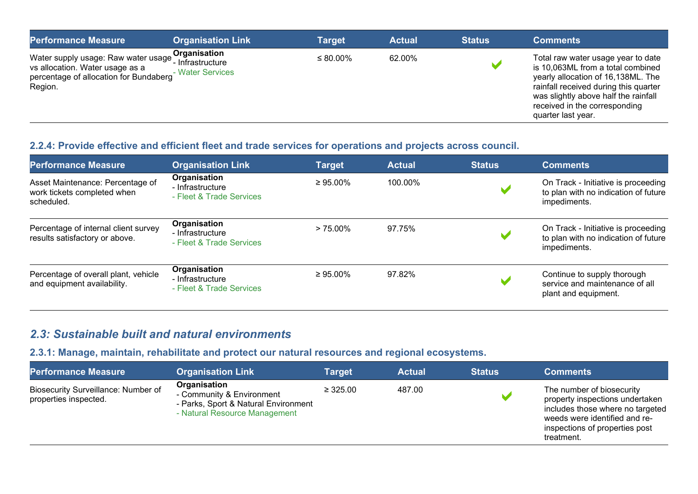| <b>Performance Measure</b>                                                                                                  | <b>Organisation Link</b>                               | Target         | <b>Actual</b> | <b>Status</b> | <b>Comments</b>                                                                                                                                                                                                                                       |
|-----------------------------------------------------------------------------------------------------------------------------|--------------------------------------------------------|----------------|---------------|---------------|-------------------------------------------------------------------------------------------------------------------------------------------------------------------------------------------------------------------------------------------------------|
| Water supply usage: Raw water usage<br>vs allocation. Water usage as a<br>percentage of allocation for Bundaberg<br>Region. | Organisation<br>´ - Infrastructure<br>- Water Services | $\leq 80.00\%$ | 62.00%        |               | Total raw water usage year to date<br>is 10,063ML from a total combined<br>yearly allocation of 16,138ML. The<br>rainfall received during this quarter<br>was slightly above half the rainfall<br>received in the corresponding<br>quarter last year. |

## **2.2.4: Provide effective and efficient fleet and trade services for operations and projects across council.**

| <b>Performance Measure</b>                                                    | <b>Organisation Link</b>                                     | <b>Target</b>  | <b>Actual</b> | <b>Status</b> | <b>Comments</b>                                                                             |
|-------------------------------------------------------------------------------|--------------------------------------------------------------|----------------|---------------|---------------|---------------------------------------------------------------------------------------------|
| Asset Maintenance: Percentage of<br>work tickets completed when<br>scheduled. | Organisation<br>- Infrastructure<br>- Fleet & Trade Services | $\geq 95.00\%$ | 100.00%       |               | On Track - Initiative is proceeding<br>to plan with no indication of future<br>impediments. |
| Percentage of internal client survey<br>results satisfactory or above.        | Organisation<br>- Infrastructure<br>- Fleet & Trade Services | $> 75.00\%$    | 97.75%        |               | On Track - Initiative is proceeding<br>to plan with no indication of future<br>impediments. |
| Percentage of overall plant, vehicle<br>and equipment availability.           | Organisation<br>- Infrastructure<br>- Fleet & Trade Services | $\geq 95.00\%$ | 97.82%        |               | Continue to supply thorough<br>service and maintenance of all<br>plant and equipment.       |

## *2.3: Sustainable built and natural environments*

## **2.3.1: Manage, maintain, rehabilitate and protect our natural resources and regional ecosystems.**

| <b>Performance Measure</b>                                   | <b>Organisation Link</b>                                                                                           | Target        | <b>Actual</b> | <b>Status</b> | <b>Comments</b>                                                                                                                                                                   |
|--------------------------------------------------------------|--------------------------------------------------------------------------------------------------------------------|---------------|---------------|---------------|-----------------------------------------------------------------------------------------------------------------------------------------------------------------------------------|
| Biosecurity Surveillance: Number of<br>properties inspected. | Organisation<br>- Community & Environment<br>- Parks, Sport & Natural Environment<br>- Natural Resource Management | $\geq 325.00$ | 487.00        |               | The number of biosecurity<br>property inspections undertaken<br>includes those where no targeted<br>weeds were identified and re-<br>inspections of properties post<br>treatment. |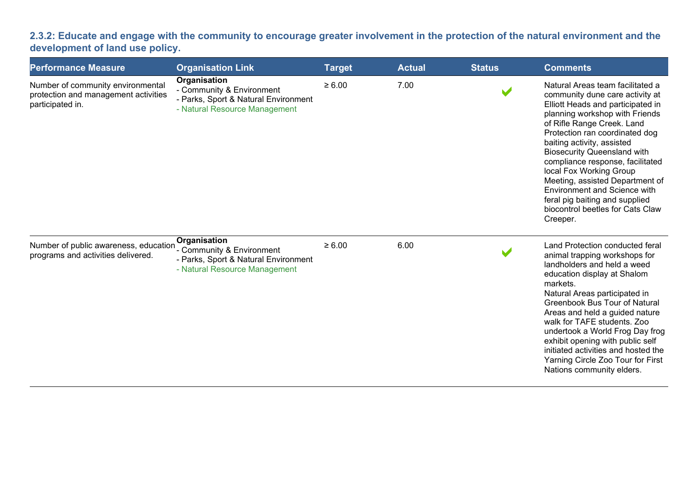**2.3.2: Educate and engage with the community to encourage greater involvement in the protection of the natural environment and the development of land use policy.**

| <b>Performance Measure</b>                                                                    | <b>Organisation Link</b>                                                                                           | <b>Target</b> | <b>Actual</b> | <b>Status</b> | <b>Comments</b>                                                                                                                                                                                                                                                                                                                                                                                                                                                                                    |
|-----------------------------------------------------------------------------------------------|--------------------------------------------------------------------------------------------------------------------|---------------|---------------|---------------|----------------------------------------------------------------------------------------------------------------------------------------------------------------------------------------------------------------------------------------------------------------------------------------------------------------------------------------------------------------------------------------------------------------------------------------------------------------------------------------------------|
| Number of community environmental<br>protection and management activities<br>participated in. | Organisation<br>- Community & Environment<br>- Parks, Sport & Natural Environment<br>- Natural Resource Management | $\geq 6.00$   | 7.00          |               | Natural Areas team facilitated a<br>community dune care activity at<br>Elliott Heads and participated in<br>planning workshop with Friends<br>of Rifle Range Creek. Land<br>Protection ran coordinated dog<br>baiting activity, assisted<br><b>Biosecurity Queensland with</b><br>compliance response, facilitated<br>local Fox Working Group<br>Meeting, assisted Department of<br>Environment and Science with<br>feral pig baiting and supplied<br>biocontrol beetles for Cats Claw<br>Creeper. |
| Number of public awareness, education<br>programs and activities delivered.                   | Organisation<br>- Community & Environment<br>- Parks, Sport & Natural Environment<br>- Natural Resource Management | $\geq 6.00$   | 6.00          |               | Land Protection conducted feral<br>animal trapping workshops for<br>landholders and held a weed<br>education display at Shalom<br>markets.<br>Natural Areas participated in<br>Greenbook Bus Tour of Natural<br>Areas and held a guided nature<br>walk for TAFE students. Zoo<br>undertook a World Frog Day frog<br>exhibit opening with public self<br>initiated activities and hosted the<br>Yarning Circle Zoo Tour for First<br>Nations community elders.                                      |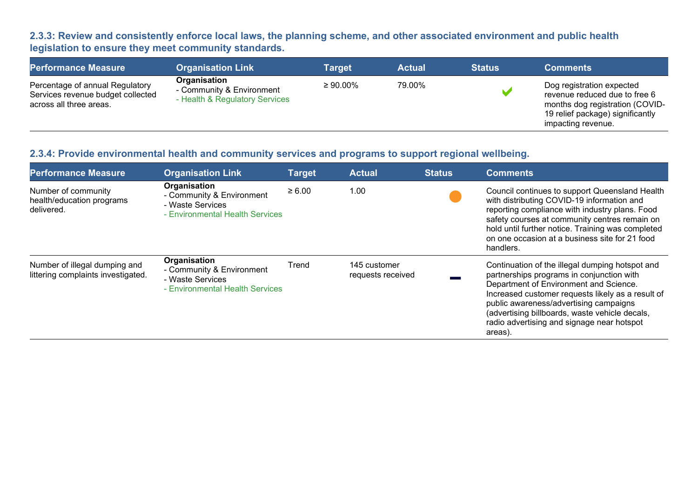## **2.3.3: Review and consistently enforce local laws, the planning scheme, and other associated environment and public health legislation to ensure they meet community standards.**

| <b>Performance Measure</b>                                                                      | <b>Organisation Link</b>                                                    | <b>Target</b>  | <b>Actual</b> | <b>Status</b> | <b>Comments</b>                                                                                                                                         |
|-------------------------------------------------------------------------------------------------|-----------------------------------------------------------------------------|----------------|---------------|---------------|---------------------------------------------------------------------------------------------------------------------------------------------------------|
| Percentage of annual Regulatory<br>Services revenue budget collected<br>across all three areas. | Organisation<br>- Community & Environment<br>- Health & Regulatory Services | $\geq 90.00\%$ | 79.00%        |               | Dog registration expected<br>revenue reduced due to free 6<br>months dog registration (COVID-<br>19 relief package) significantly<br>impacting revenue. |

## **2.3.4: Provide environmental health and community services and programs to support regional wellbeing.**

| <b>Performance Measure</b>                                          | <b>Organisation Link</b>                                                                         | <b>Target</b> | <b>Actual</b>                     | <b>Status</b> | <b>Comments</b>                                                                                                                                                                                                                                                                                                                                  |
|---------------------------------------------------------------------|--------------------------------------------------------------------------------------------------|---------------|-----------------------------------|---------------|--------------------------------------------------------------------------------------------------------------------------------------------------------------------------------------------------------------------------------------------------------------------------------------------------------------------------------------------------|
| Number of community<br>health/education programs<br>delivered.      | Organisation<br>- Community & Environment<br>- Waste Services<br>- Environmental Health Services | $\ge 6.00$    | 1.00                              |               | Council continues to support Queensland Health<br>with distributing COVID-19 information and<br>reporting compliance with industry plans. Food<br>safety courses at community centres remain on<br>hold until further notice. Training was completed<br>on one occasion at a business site for 21 food<br>handlers.                              |
| Number of illegal dumping and<br>littering complaints investigated. | Organisation<br>- Community & Environment<br>- Waste Services<br>- Environmental Health Services | Trend         | 145 customer<br>requests received |               | Continuation of the illegal dumping hotspot and<br>partnerships programs in conjunction with<br>Department of Environment and Science.<br>Increased customer requests likely as a result of<br>public awareness/advertising campaigns<br>(advertising billboards, waste vehicle decals,<br>radio advertising and signage near hotspot<br>areas). |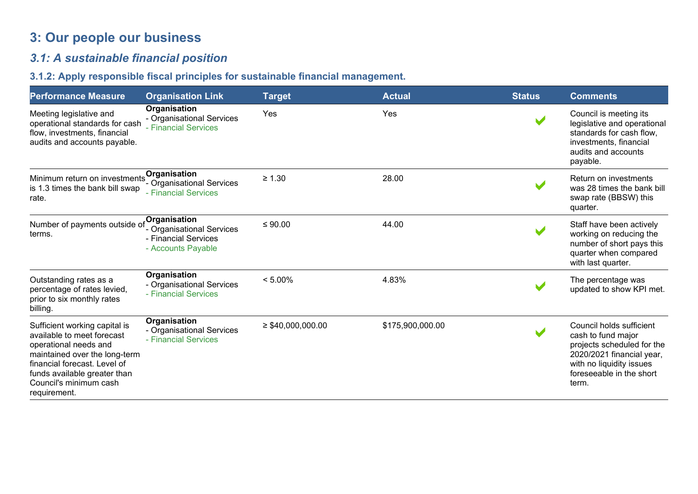# **3: Our people our business**

# *3.1: A sustainable financial position*

## **3.1.2: Apply responsible fiscal principles for sustainable financial management.**

| <b>Performance Measure</b>                                                                                                                                                                                                      | <b>Organisation Link</b>                                                                | <b>Target</b>          | <b>Actual</b>    | <b>Status</b> | <b>Comments</b>                                                                                                                                                            |
|---------------------------------------------------------------------------------------------------------------------------------------------------------------------------------------------------------------------------------|-----------------------------------------------------------------------------------------|------------------------|------------------|---------------|----------------------------------------------------------------------------------------------------------------------------------------------------------------------------|
| Meeting legislative and<br>operational standards for cash<br>flow, investments, financial<br>audits and accounts payable.                                                                                                       | Organisation<br>- Organisational Services<br>- Financial Services                       | Yes                    | Yes              |               | Council is meeting its<br>legislative and operational<br>standards for cash flow,<br>investments, financial<br>audits and accounts<br>payable.                             |
| Minimum return on investments<br>is 1.3 times the bank bill swap<br>rate.                                                                                                                                                       | Organisation<br>- Organisational Services<br>- Financial Services                       | $\geq 1.30$            | 28.00            |               | Return on investments<br>was 28 times the bank bill<br>swap rate (BBSW) this<br>quarter.                                                                                   |
| Number of payments outside of<br>terms.                                                                                                                                                                                         | Organisation<br>- Organisational Services<br>- Financial Services<br>- Accounts Payable | $≤ 90.00$              | 44.00            |               | Staff have been actively<br>working on reducing the<br>number of short pays this<br>quarter when compared<br>with last quarter.                                            |
| Outstanding rates as a<br>percentage of rates levied,<br>prior to six monthly rates<br>billing.                                                                                                                                 | Organisation<br>- Organisational Services<br>- Financial Services                       | $< 5.00\%$             | 4.83%            |               | The percentage was<br>updated to show KPI met.                                                                                                                             |
| Sufficient working capital is<br>available to meet forecast<br>operational needs and<br>maintained over the long-term<br>financial forecast. Level of<br>funds available greater than<br>Council's minimum cash<br>requirement. | Organisation<br>- Organisational Services<br>- Financial Services                       | $\geq$ \$40,000,000.00 | \$175,900,000.00 |               | Council holds sufficient<br>cash to fund major<br>projects scheduled for the<br>2020/2021 financial year,<br>with no liquidity issues<br>foreseeable in the short<br>term. |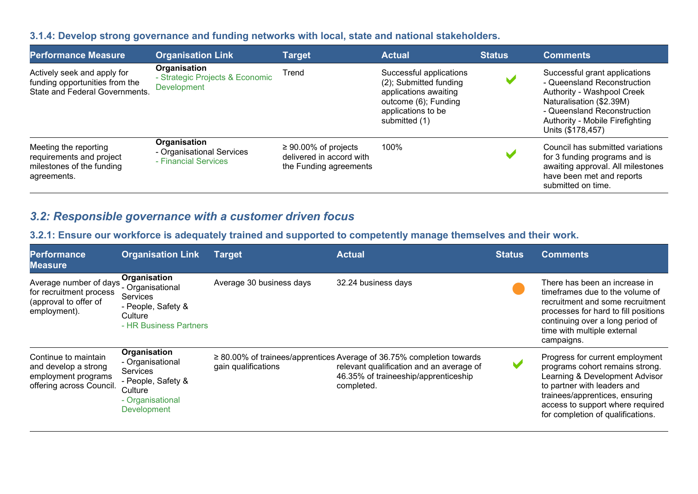#### **3.1.4: Develop strong governance and funding networks with local, state and national stakeholders.**

| <b>Performance Measure</b>                                                                      | <b>Organisation Link</b>                                          | <b>Target</b>                                                                    | <b>Actual</b>                                                                                                                             | <b>Status</b>         | <b>Comments</b>                                                                                                                                                                                               |
|-------------------------------------------------------------------------------------------------|-------------------------------------------------------------------|----------------------------------------------------------------------------------|-------------------------------------------------------------------------------------------------------------------------------------------|-----------------------|---------------------------------------------------------------------------------------------------------------------------------------------------------------------------------------------------------------|
| Actively seek and apply for<br>funding opportunities from the<br>State and Federal Governments. | Organisation<br>- Strategic Projects & Economic<br>Development    | Trend                                                                            | Successful applications<br>(2); Submitted funding<br>applications awaiting<br>outcome (6); Funding<br>applications to be<br>submitted (1) | V                     | Successful grant applications<br>- Queensland Reconstruction<br>Authority - Washpool Creek<br>Naturalisation (\$2.39M)<br>- Queensland Reconstruction<br>Authority - Mobile Firefighting<br>Units (\$178,457) |
| Meeting the reporting<br>requirements and project<br>milestones of the funding<br>agreements.   | Organisation<br>- Organisational Services<br>- Financial Services | $\geq 90.00\%$ of projects<br>delivered in accord with<br>the Funding agreements | 100%                                                                                                                                      | $\blacktriangleright$ | Council has submitted variations<br>for 3 funding programs and is<br>awaiting approval. All milestones<br>have been met and reports<br>submitted on time.                                                     |

## *3.2: Responsible governance with a customer driven focus*

## **3.2.1: Ensure our workforce is adequately trained and supported to competently manage themselves and their work.**

| <b>Performance</b><br><b>Measure</b>                                                            | <b>Organisation Link</b>                                                                                         | Target                   | <b>Actual</b>                                                                                                                                                                | <b>Status</b> | <b>Comments</b>                                                                                                                                                                                                                                |
|-------------------------------------------------------------------------------------------------|------------------------------------------------------------------------------------------------------------------|--------------------------|------------------------------------------------------------------------------------------------------------------------------------------------------------------------------|---------------|------------------------------------------------------------------------------------------------------------------------------------------------------------------------------------------------------------------------------------------------|
| Average number of days<br>for recruitment process<br>(approval to offer of<br>employment).      | Organisation<br>- Organisational<br>Services<br>- People, Safety &<br>Culture<br>- HR Business Partners          | Average 30 business days | 32.24 business days                                                                                                                                                          |               | There has been an increase in<br>timeframes due to the volume of<br>recruitment and some recruitment<br>processes for hard to fill positions<br>continuing over a long period of<br>time with multiple external<br>campaigns.                  |
| Continue to maintain<br>and develop a strong<br>employment programs<br>offering across Council. | Organisation<br>- Organisational<br>Services<br>- People, Safety &<br>Culture<br>- Organisational<br>Development | gain qualifications      | $\geq$ 80.00% of trainees/apprentices Average of 36.75% completion towards<br>relevant qualification and an average of<br>46.35% of traineeship/apprenticeship<br>completed. |               | Progress for current employment<br>programs cohort remains strong.<br>Learning & Development Advisor<br>to partner with leaders and<br>trainees/apprentices, ensuring<br>access to support where required<br>for completion of qualifications. |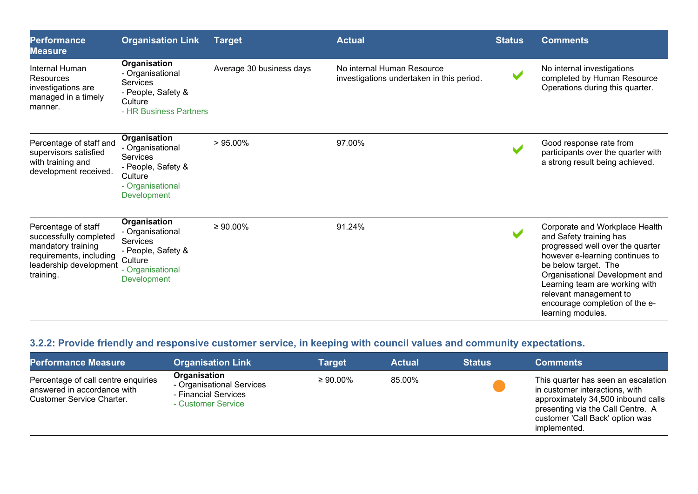| <b>Performance</b><br><b>Measure</b>                                                                                                  | <b>Organisation Link</b>                                                                                                       | <b>Target</b>            | <b>Actual</b>                                                           | <b>Status</b>         | <b>Comments</b>                                                                                                                                                                                                                                                                                               |
|---------------------------------------------------------------------------------------------------------------------------------------|--------------------------------------------------------------------------------------------------------------------------------|--------------------------|-------------------------------------------------------------------------|-----------------------|---------------------------------------------------------------------------------------------------------------------------------------------------------------------------------------------------------------------------------------------------------------------------------------------------------------|
| Internal Human<br>Resources<br>investigations are<br>managed in a timely<br>manner.                                                   | Organisation<br>- Organisational<br><b>Services</b><br>- People, Safety &<br>Culture<br>- HR Business Partners                 | Average 30 business days | No internal Human Resource<br>investigations undertaken in this period. | $\blacktriangleright$ | No internal investigations<br>completed by Human Resource<br>Operations during this quarter.                                                                                                                                                                                                                  |
| Percentage of staff and<br>supervisors satisfied<br>with training and<br>development received.                                        | Organisation<br>- Organisational<br><b>Services</b><br>- People, Safety &<br>Culture<br>- Organisational<br><b>Development</b> | $>95.00\%$               | 97.00%                                                                  |                       | Good response rate from<br>participants over the quarter with<br>a strong result being achieved.                                                                                                                                                                                                              |
| Percentage of staff<br>successfully completed<br>mandatory training<br>requirements, including<br>leadership development<br>training. | Organisation<br>- Organisational<br>Services<br>- People, Safety &<br>Culture<br>- Organisational<br><b>Development</b>        | $\geq 90.00\%$           | 91.24%                                                                  |                       | Corporate and Workplace Health<br>and Safety training has<br>progressed well over the quarter<br>however e-learning continues to<br>be below target. The<br>Organisational Development and<br>Learning team are working with<br>relevant management to<br>encourage completion of the e-<br>learning modules. |

# **3.2.2: Provide friendly and responsive customer service, in keeping with council values and community expectations.**

| <b>Performance Measure</b>                                                                      | <b>Organisation Link</b>                                                                | Target         | <b>Actual</b> | <b>Status</b> | <b>Comments</b>                                                                                                                                                                                     |
|-------------------------------------------------------------------------------------------------|-----------------------------------------------------------------------------------------|----------------|---------------|---------------|-----------------------------------------------------------------------------------------------------------------------------------------------------------------------------------------------------|
| Percentage of call centre enquiries<br>answered in accordance with<br>Customer Service Charter. | Organisation<br>- Organisational Services<br>- Financial Services<br>- Customer Service | $\geq 90.00\%$ | 85.00%        |               | This quarter has seen an escalation<br>in customer interactions, with<br>approximately 34,500 inbound calls<br>presenting via the Call Centre. A<br>customer 'Call Back' option was<br>implemented. |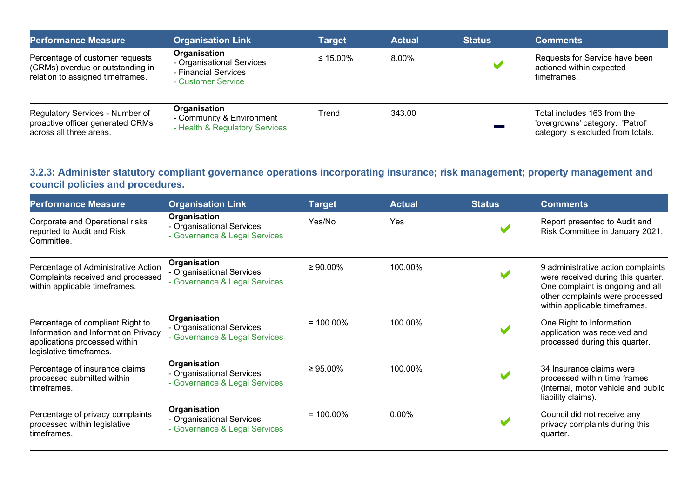| <b>Performance Measure</b>                                                                              | <b>Organisation Link</b>                                                                | Target         | <b>Actual</b> | <b>Status</b> | <b>Comments</b>                                                                                     |
|---------------------------------------------------------------------------------------------------------|-----------------------------------------------------------------------------------------|----------------|---------------|---------------|-----------------------------------------------------------------------------------------------------|
| Percentage of customer requests<br>(CRMs) overdue or outstanding in<br>relation to assigned timeframes. | Organisation<br>- Organisational Services<br>- Financial Services<br>- Customer Service | $\leq 15.00\%$ | 8.00%         |               | Requests for Service have been<br>actioned within expected<br>timeframes.                           |
| Regulatory Services - Number of<br>proactive officer generated CRMs<br>across all three areas.          | Organisation<br>- Community & Environment<br>- Health & Regulatory Services             | Trend          | 343.00        |               | Total includes 163 from the<br>'overgrowns' category. 'Patrol'<br>category is excluded from totals. |

## **3.2.3: Administer statutory compliant governance operations incorporating insurance; risk management; property management and council policies and procedures.**

| <b>Performance Measure</b>                                                                                                          | <b>Organisation Link</b>                                                   | <b>Target</b>  | <b>Actual</b> | <b>Status</b> | <b>Comments</b>                                                                                                                                                                  |
|-------------------------------------------------------------------------------------------------------------------------------------|----------------------------------------------------------------------------|----------------|---------------|---------------|----------------------------------------------------------------------------------------------------------------------------------------------------------------------------------|
| Corporate and Operational risks<br>reported to Audit and Risk<br>Committee.                                                         | Organisation<br>- Organisational Services<br>- Governance & Legal Services | Yes/No         | Yes           |               | Report presented to Audit and<br>Risk Committee in January 2021.                                                                                                                 |
| Percentage of Administrative Action<br>Complaints received and processed<br>within applicable timeframes.                           | Organisation<br>- Organisational Services<br>- Governance & Legal Services | $\geq 90.00\%$ | 100.00%       |               | 9 administrative action complaints<br>were received during this quarter.<br>One complaint is ongoing and all<br>other complaints were processed<br>within applicable timeframes. |
| Percentage of compliant Right to<br>Information and Information Privacy<br>applications processed within<br>legislative timeframes. | Organisation<br>- Organisational Services<br>- Governance & Legal Services | $= 100.00\%$   | 100.00%       |               | One Right to Information<br>application was received and<br>processed during this quarter.                                                                                       |
| Percentage of insurance claims<br>processed submitted within<br>timeframes.                                                         | Organisation<br>- Organisational Services<br>- Governance & Legal Services | $\geq 95.00\%$ | 100.00%       |               | 34 Insurance claims were<br>processed within time frames<br>(internal, motor vehicle and public<br>liability claims).                                                            |
| Percentage of privacy complaints<br>processed within legislative<br>timeframes.                                                     | Organisation<br>- Organisational Services<br>- Governance & Legal Services | $= 100.00\%$   | 0.00%         |               | Council did not receive any<br>privacy complaints during this<br>quarter.                                                                                                        |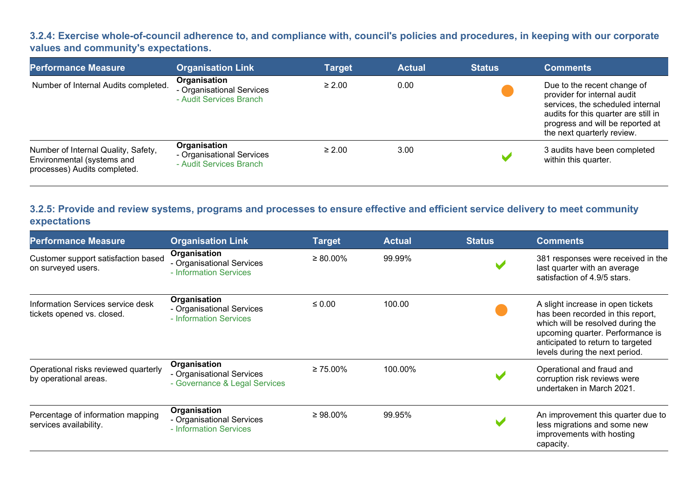#### **3.2.4: Exercise whole-of-council adherence to, and compliance with, council's policies and procedures, in keeping with our corporate values and community's expectations.**

| <b>Performance Measure</b>                                                                        | <b>Organisation Link</b>                                             | <b>Target</b> | <b>Actual</b> | <b>Status</b> | <b>Comments</b>                                                                                                                                                                                          |
|---------------------------------------------------------------------------------------------------|----------------------------------------------------------------------|---------------|---------------|---------------|----------------------------------------------------------------------------------------------------------------------------------------------------------------------------------------------------------|
| Number of Internal Audits completed.                                                              | Organisation<br>- Organisational Services<br>- Audit Services Branch | $\geq 2.00$   | 0.00          |               | Due to the recent change of<br>provider for internal audit<br>services, the scheduled internal<br>audits for this quarter are still in<br>progress and will be reported at<br>the next quarterly review. |
| Number of Internal Quality, Safety,<br>Environmental (systems and<br>processes) Audits completed. | Organisation<br>- Organisational Services<br>- Audit Services Branch | $\geq 2.00$   | 3.00          |               | 3 audits have been completed<br>within this quarter.                                                                                                                                                     |

## **3.2.5: Provide and review systems, programs and processes to ensure effective and efficient service delivery to meet community expectations**

| <b>Performance Measure</b>                                      | <b>Organisation Link</b>                                                   | <b>Target</b>  | <b>Actual</b> | <b>Status</b> | <b>Comments</b>                                                                                                                                                                                                        |
|-----------------------------------------------------------------|----------------------------------------------------------------------------|----------------|---------------|---------------|------------------------------------------------------------------------------------------------------------------------------------------------------------------------------------------------------------------------|
| Customer support satisfaction based<br>on surveyed users.       | Organisation<br>- Organisational Services<br>- Information Services        | $\geq 80.00\%$ | 99.99%        |               | 381 responses were received in the<br>last quarter with an average<br>satisfaction of 4.9/5 stars.                                                                                                                     |
| Information Services service desk<br>tickets opened vs. closed. | Organisation<br>- Organisational Services<br>- Information Services        | $\leq 0.00$    | 100.00        |               | A slight increase in open tickets<br>has been recorded in this report,<br>which will be resolved during the<br>upcoming quarter. Performance is<br>anticipated to return to targeted<br>levels during the next period. |
| Operational risks reviewed quarterly<br>by operational areas.   | Organisation<br>- Organisational Services<br>- Governance & Legal Services | $\geq 75.00\%$ | 100.00%       |               | Operational and fraud and<br>corruption risk reviews were<br>undertaken in March 2021.                                                                                                                                 |
| Percentage of information mapping<br>services availability.     | Organisation<br>- Organisational Services<br>- Information Services        | $\geq 98.00\%$ | 99.95%        |               | An improvement this quarter due to<br>less migrations and some new<br>improvements with hosting<br>capacity.                                                                                                           |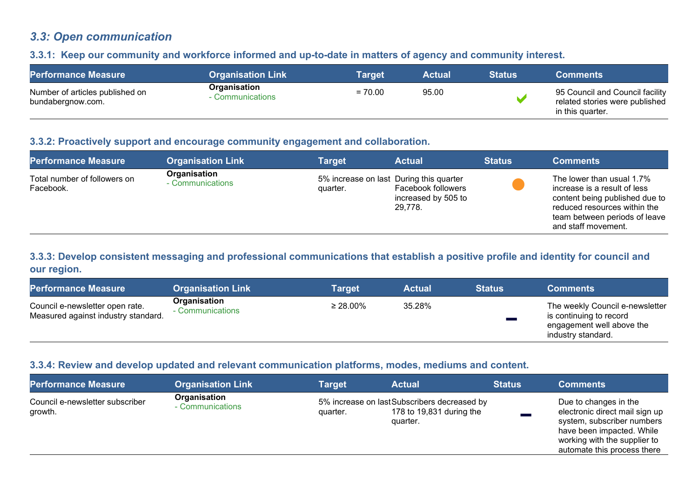## *3.3: Open communication*

#### **3.3.1: Keep our community and workforce informed and up-to-date in matters of agency and community interest.**

| <b>Performance Measure</b>                           | <b>Organisation Link</b>         | <b>Target</b> | <b>Actual</b> | <b>Status</b> | <b>Comments</b>                                                                       |
|------------------------------------------------------|----------------------------------|---------------|---------------|---------------|---------------------------------------------------------------------------------------|
| Number of articles published on<br>bundabergnow.com. | Organisation<br>- Communications | $= 70.00$     | 95.00         |               | 95 Council and Council facility<br>related stories were published<br>in this quarter. |

#### **3.3.2: Proactively support and encourage community engagement and collaboration.**

| <b>Performance Measure</b>                | <b>Organisation Link</b>         | Target                                              | <b>Actual</b>                                        | <b>Status</b> | <b>Comments</b>                                                                                                                                                                     |
|-------------------------------------------|----------------------------------|-----------------------------------------------------|------------------------------------------------------|---------------|-------------------------------------------------------------------------------------------------------------------------------------------------------------------------------------|
| Total number of followers on<br>Facebook. | Organisation<br>- Communications | 5% increase on last During this quarter<br>quarter. | Facebook followers<br>increased by 505 to<br>29,778. |               | The lower than usual 1.7%<br>increase is a result of less<br>content being published due to<br>reduced resources within the<br>team between periods of leave<br>and staff movement. |

#### **3.3.3: Develop consistent messaging and professional communications that establish a positive profile and identity for council and our region.**

| <b>Performance Measure</b>                                             | <b>Organisation Link</b>         | Target         | Actual | <b>Status</b> | <b>Comments</b>                                                                                               |
|------------------------------------------------------------------------|----------------------------------|----------------|--------|---------------|---------------------------------------------------------------------------------------------------------------|
| Council e-newsletter open rate.<br>Measured against industry standard. | Organisation<br>- Communications | $\geq 28.00\%$ | 35.28% |               | The weekly Council e-newsletter<br>is continuing to record<br>engagement well above the<br>industry standard. |

#### **3.3.4: Review and develop updated and relevant communication platforms, modes, mediums and content.**

| <b>Performance Measure</b>                 | <b>Organisation Link</b>         | <b>Target</b> | <b>Actual</b>                                                                       | <b>Status</b> | <b>Comments</b>                                                                                                                                                                   |
|--------------------------------------------|----------------------------------|---------------|-------------------------------------------------------------------------------------|---------------|-----------------------------------------------------------------------------------------------------------------------------------------------------------------------------------|
| Council e-newsletter subscriber<br>growth. | Organisation<br>- Communications | quarter.      | 5% increase on lastSubscribers decreased by<br>178 to 19,831 during the<br>quarter. |               | Due to changes in the<br>electronic direct mail sign up<br>system, subscriber numbers<br>have been impacted. While<br>working with the supplier to<br>automate this process there |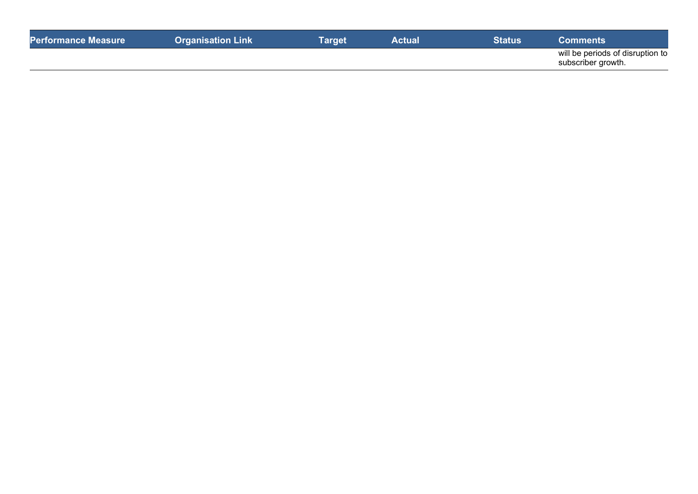| <b>Performance Measure</b> | <b>Organisation Link</b> | Tarqet | Actual | <b>Status</b> | Comments                                               |
|----------------------------|--------------------------|--------|--------|---------------|--------------------------------------------------------|
|                            |                          |        |        |               | will be periods of disruption to<br>subscriber growth. |